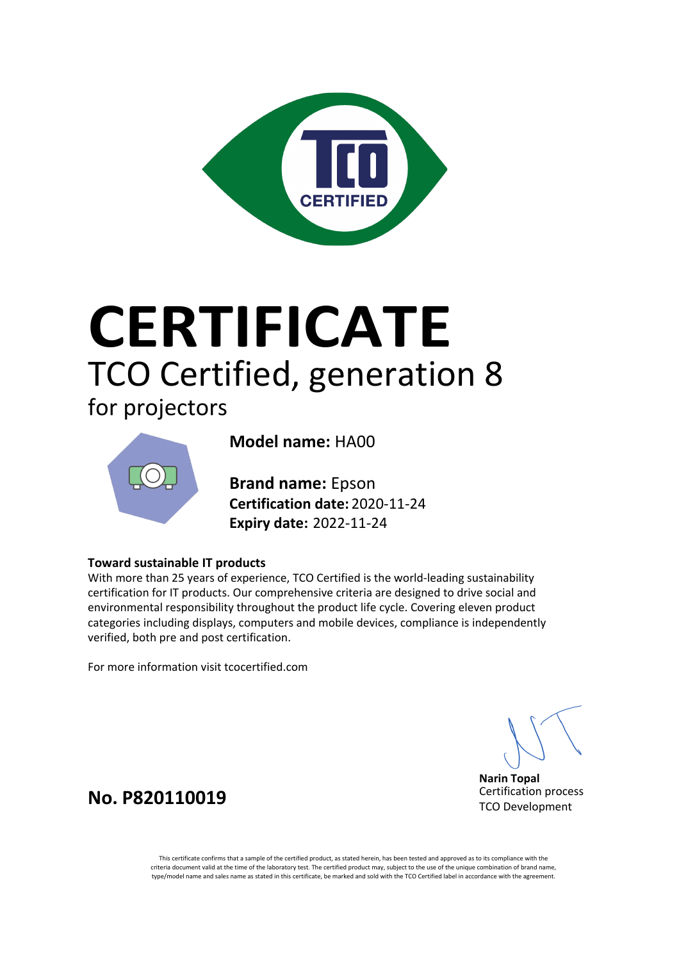

# **CERTIFICATE** TCO Certified, generation 8

### for projectors



**Model name:** HA00

**Certification date:** 2020-11-24 **Expiry date:** 2022-11-24 **Brand name:** Epson

#### **Toward sustainable IT products**

With more than 25 years of experience, TCO Certified is the world-leading sustainability certification for IT products. Our comprehensive criteria are designed to drive social and environmental responsibility throughout the product life cycle. Covering eleven product categories including displays, computers and mobile devices, compliance is independently verified, both pre and post certification.

For more information visit tcocertified.com

**Narin Topal** Certification process TCO Development

**No. P820110019**

This certificate confirms that a sample of the certified product, as stated herein, has been tested and approved as to its compliance with the criteria document valid at the time of the laboratory test. The certified product may, subject to the use of the unique combination of brand name, type/model name and sales name as stated in this certificate, be marked and sold with the TCO Certified label in accordance with the agreement.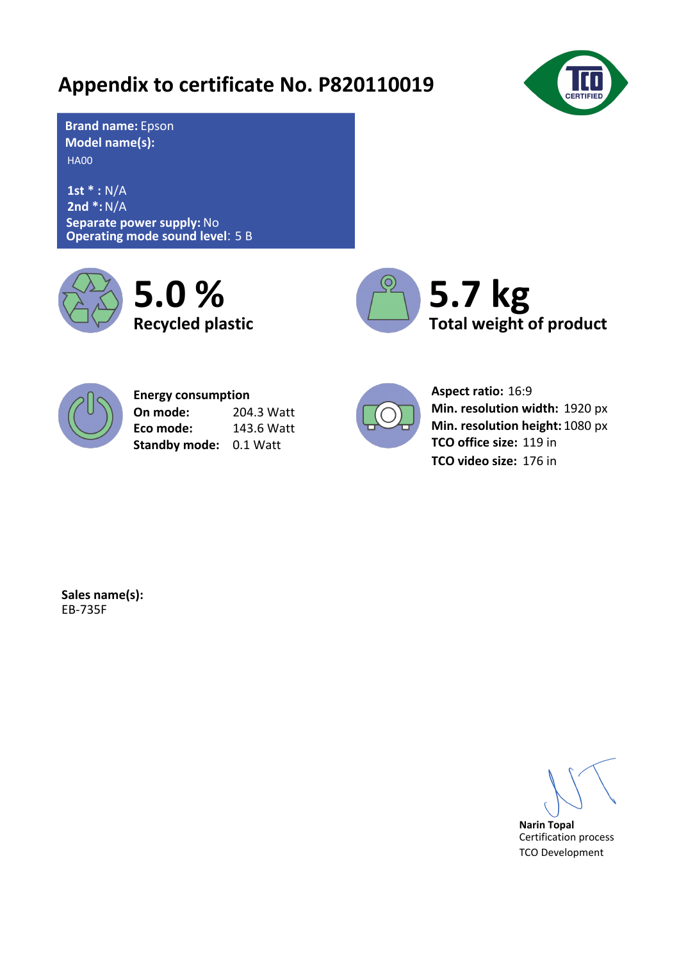## **Appendix to certificate No. P820110019**



HA00 **Model name(s): Brand name:** Epson

**Separate power supply:** No **Operating mode sound level**: 5 B **1st \* :** N/A **2nd \*:** N/A







204.3 Watt 143.6 Watt **Energy consumption On mode: Eco mode: Standby mode:** 0.1 Watt



Aspect ratio: 16:9 Min. resolution width: 1920 px Min. resolution height: 1080 px **TCO office size:** 119 in **TCO video size:** 176 in

**Sales name(s):** EB-735F

**Narin Topal** Certification process TCO Development